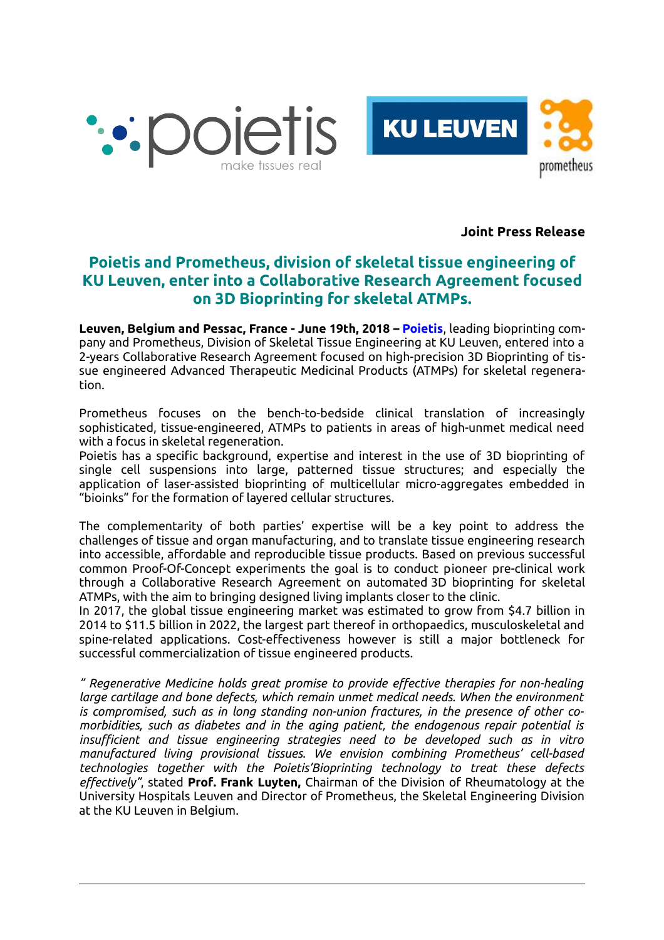



**Joint Press Release**

## **Poietis and Prometheus, division of skeletal tissue engineering of KU Leuven, enter into a Collaborative Research Agreement focused on 3D Bioprinting for skeletal ATMPs.**

**Leuven, Belgium and Pessac, France - June 19th, 2018 – [Poietis](https://www.poietis.com/)**, leading bioprinting company and Prometheus, Division of Skeletal Tissue Engineering at KU Leuven, entered into a 2-years Collaborative Research Agreement focused on high-precision 3D Bioprinting of tissue engineered Advanced Therapeutic Medicinal Products (ATMPs) for skeletal regeneration.

Prometheus focuses on the bench-to-bedside clinical translation of increasingly sophisticated, tissue-engineered, ATMPs to patients in areas of high-unmet medical need with a focus in skeletal regeneration.

Poietis has a specific background, expertise and interest in the use of 3D bioprinting of single cell suspensions into large, patterned tissue structures; and especially the application of laser-assisted bioprinting of multicellular micro-aggregates embedded in "bioinks" for the formation of layered cellular structures.

The complementarity of both parties' expertise will be a key point to address the challenges of tissue and organ manufacturing, and to translate tissue engineering research into accessible, affordable and reproducible tissue products. Based on previous successful common Proof-Of-Concept experiments the goal is to conduct pioneer pre-clinical work through a Collaborative Research Agreement on automated 3D bioprinting for skeletal ATMPs, with the aim to bringing designed living implants closer to the clinic.

In 2017, the global tissue engineering market was estimated to grow from \$4.7 billion in 2014 to \$11.5 billion in 2022, the largest part thereof in orthopaedics, musculoskeletal and spine-related applications. Cost-effectiveness however is still a major bottleneck for successful commercialization of tissue engineered products.

*" Regenerative Medicine holds great promise to provide effective therapies for non-healing large cartilage and bone defects, which remain unmet medical needs. When the environment is compromised, such as in long standing non-union fractures, in the presence of other comorbidities, such as diabetes and in the aging patient, the endogenous repair potential is insufficient and tissue engineering strategies need to be developed such as in vitro manufactured living provisional tissues. We envision combining Prometheus' cell-based technologies together with the Poietis'Bioprinting technology to treat these defects effectively"*, stated **Prof. Frank Luyten,** Chairman of the Division of Rheumatology at the University Hospitals Leuven and Director of Prometheus, the Skeletal Engineering Division at the KU Leuven in Belgium.